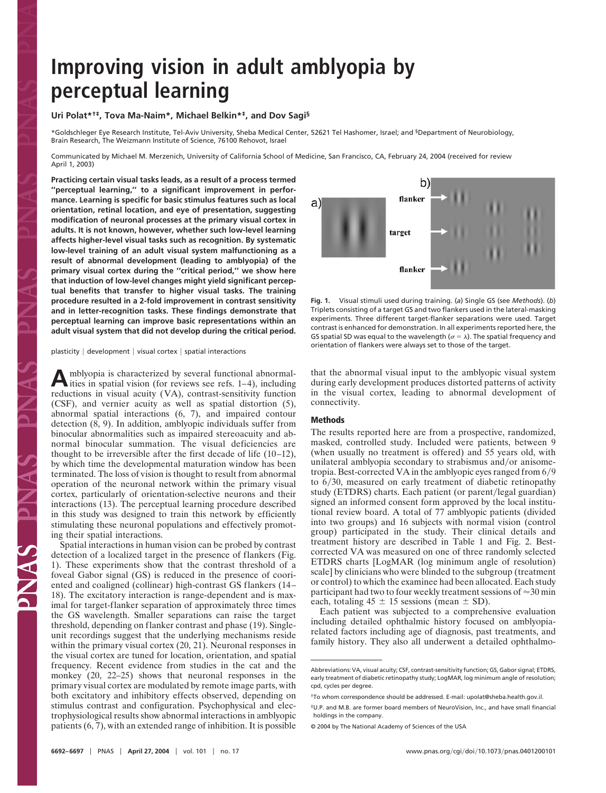# **Improving vision in adult amblyopia by perceptual learning**

## **Uri Polat\*†‡, Tova Ma-Naim\*, Michael Belkin\*‡, and Dov Sagi§**

\*Goldschleger Eye Research Institute, Tel-Aviv University, Sheba Medical Center, 52621 Tel Hashomer, Israel; and §Department of Neurobiology, Brain Research, The Weizmann Institute of Science, 76100 Rehovot, Israel

Communicated by Michael M. Merzenich, University of California School of Medicine, San Francisco, CA, February 24, 2004 (received for review April 1, 2003)

**Practicing certain visual tasks leads, as a result of a process termed ''perceptual learning,'' to a significant improvement in performance. Learning is specific for basic stimulus features such as local orientation, retinal location, and eye of presentation, suggesting modification of neuronal processes at the primary visual cortex in adults. It is not known, however, whether such low-level learning affects higher-level visual tasks such as recognition. By systematic low-level training of an adult visual system malfunctioning as a result of abnormal development (leading to amblyopia) of the primary visual cortex during the ''critical period,'' we show here that induction of low-level changes might yield significant perceptual benefits that transfer to higher visual tasks. The training procedure resulted in a 2-fold improvement in contrast sensitivity and in letter-recognition tasks. These findings demonstrate that perceptual learning can improve basic representations within an adult visual system that did not develop during the critical period.**

 $plasticity | development | visual cortex | spatial interactions$ 

Amblyopia is characterized by several functional abnormal-<br>ities in spatial vision (for reviews see refs. 1–4), including reductions in visual acuity (VA), contrast-sensitivity function (CSF), and vernier acuity as well as spatial distortion (5), abnormal spatial interactions (6, 7), and impaired contour detection (8, 9). In addition, amblyopic individuals suffer from binocular abnormalities such as impaired stereoacuity and abnormal binocular summation. The visual deficiencies are thought to be irreversible after the first decade of life (10–12), by which time the developmental maturation window has been terminated. The loss of vision is thought to result from abnormal operation of the neuronal network within the primary visual cortex, particularly of orientation-selective neurons and their interactions (13). The perceptual learning procedure described in this study was designed to train this network by efficiently stimulating these neuronal populations and effectively promoting their spatial interactions.

Spatial interactions in human vision can be probed by contrast detection of a localized target in the presence of flankers (Fig. 1). These experiments show that the contrast threshold of a foveal Gabor signal (GS) is reduced in the presence of cooriented and coaligned (collinear) high-contrast GS flankers (14– 18). The excitatory interaction is range-dependent and is maximal for target-flanker separation of approximately three times the GS wavelength. Smaller separations can raise the target threshold, depending on flanker contrast and phase (19). Singleunit recordings suggest that the underlying mechanisms reside within the primary visual cortex (20, 21). Neuronal responses in the visual cortex are tuned for location, orientation, and spatial frequency. Recent evidence from studies in the cat and the monkey (20, 22–25) shows that neuronal responses in the primary visual cortex are modulated by remote image parts, with both excitatory and inhibitory effects observed, depending on stimulus contrast and configuration. Psychophysical and electrophysiological results show abnormal interactions in amblyopic patients (6, 7), with an extended range of inhibition. It is possible



**Fig. 1.** Visual stimuli used during training. (*a*) Single GS (see *Methods*). (*b*) Triplets consisting of a target GS and two flankers used in the lateral-masking experiments. Three different target-flanker separations were used. Target contrast is enhanced for demonstration. In all experiments reported here, the GS spatial SD was equal to the wavelength ( $\sigma = \lambda$ ). The spatial frequency and orientation of flankers were always set to those of the target.

that the abnormal visual input to the amblyopic visual system during early development produces distorted patterns of activity in the visual cortex, leading to abnormal development of connectivity.

## **Methods**

The results reported here are from a prospective, randomized, masked, controlled study. Included were patients, between 9 (when usually no treatment is offered) and 55 years old, with unilateral amblyopia secondary to strabismus and/or anisometropia. Best-corrected VA in the amblyopic eyes ranged from 6/9 to  $6/30$ , measured on early treatment of diabetic retinopathy study (ETDRS) charts. Each patient (or parent/legal guardian) signed an informed consent form approved by the local institutional review board. A total of 77 amblyopic patients (divided into two groups) and 16 subjects with normal vision (control group) participated in the study. Their clinical details and treatment history are described in Table 1 and Fig. 2. Bestcorrected VA was measured on one of three randomly selected ETDRS charts [LogMAR (log minimum angle of resolution) scale] by clinicians who were blinded to the subgroup (treatment or control) to which the examinee had been allocated. Each study participant had two to four weekly treatment sessions of  $\approx 30$  min each, totaling  $45 \pm 15$  sessions (mean  $\pm$  SD).

Each patient was subjected to a comprehensive evaluation including detailed ophthalmic history focused on amblyopiarelated factors including age of diagnosis, past treatments, and family history. They also all underwent a detailed ophthalmo-

Abbreviations: VA, visual acuity; CSF, contrast-sensitivity function; GS, Gabor signal; ETDRS, early treatment of diabetic retinopathy study; LogMAR, log minimum angle of resolution; cpd, cycles per degree

<sup>†</sup>To whom correspondence should be addressed. E-mail: upolat@sheba.health.gov.il.

<sup>‡</sup>U.P. and M.B. are former board members of NeuroVision, Inc., and have small financial holdings in the company.

<sup>© 2004</sup> by The National Academy of Sciences of the USA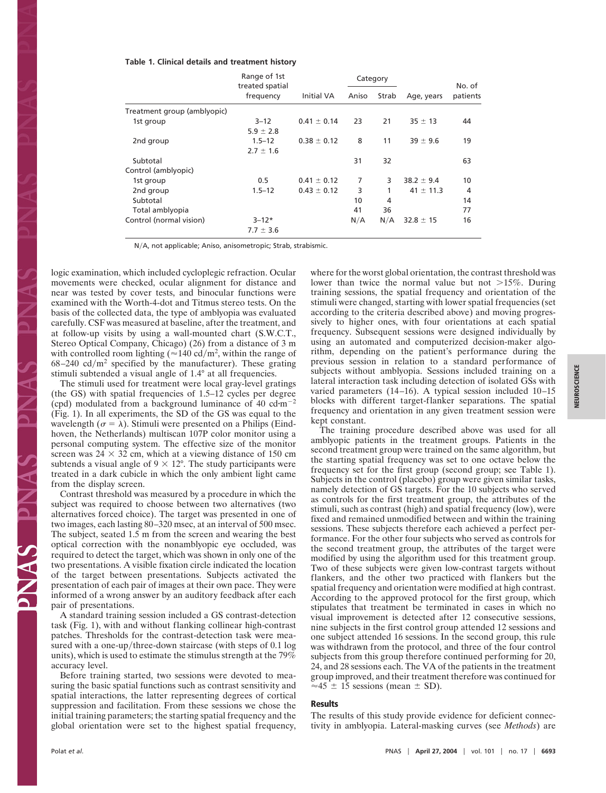#### **Table 1. Clinical details and treatment history**

|                             | Range of 1st<br>treated spatial<br>frequency | Category          |       |       |                | No. of   |
|-----------------------------|----------------------------------------------|-------------------|-------|-------|----------------|----------|
|                             |                                              | <b>Initial VA</b> | Aniso | Strab | Age, years     | patients |
| Treatment group (amblyopic) |                                              |                   |       |       |                |          |
| 1st group                   | $3 - 12$                                     | $0.41 \pm 0.14$   | 23    | 21    | $35 \pm 13$    | 44       |
|                             | $5.9 \pm 2.8$                                |                   |       |       |                |          |
| 2nd group                   | $1.5 - 12$                                   | $0.38 \pm 0.12$   | 8     | 11    | $39 \pm 9.6$   | 19       |
|                             | $2.7 \pm 1.6$                                |                   |       |       |                |          |
| Subtotal                    |                                              |                   | 31    | 32    |                | 63       |
| Control (amblyopic)         |                                              |                   |       |       |                |          |
| 1st group                   | 0.5                                          | $0.41 \pm 0.12$   | 7     | 3     | $38.2 \pm 9.4$ | 10       |
| 2nd group                   | $1.5 - 12$                                   | $0.43 \pm 0.12$   | 3     | 1     | $41 \pm 11.3$  | 4        |
| Subtotal                    |                                              |                   | 10    | 4     |                | 14       |
| Total amblyopia             |                                              |                   | 41    | 36    |                | 77       |
| Control (normal vision)     | $3 - 12*$                                    |                   | N/A   | N/A   | $32.8 \pm 15$  | 16       |
|                             | $7.7 \pm 3.6$                                |                   |       |       |                |          |

N/A, not applicable; Aniso, anisometropic; Strab, strabismic.

logic examination, which included cycloplegic refraction. Ocular movements were checked, ocular alignment for distance and near was tested by cover tests, and binocular functions were examined with the Worth-4-dot and Titmus stereo tests. On the basis of the collected data, the type of amblyopia was evaluated carefully. CSF was measured at baseline, after the treatment, and at follow-up visits by using a wall-mounted chart (S.W.C.T., Stereo Optical Company, Chicago) (26) from a distance of 3 m with controlled room lighting ( $\approx$  140 cd/m<sup>2</sup>, within the range of  $68-240$  cd/m<sup>2</sup> specified by the manufacturer). These grating stimuli subtended a visual angle of 1.4° at all frequencies.

The stimuli used for treatment were local gray-level gratings (the GS) with spatial frequencies of 1.5–12 cycles per degree (cpd) modulated from a background luminance of 40 cd $\rm \,m^{-2}$ (Fig. 1). In all experiments, the SD of the GS was equal to the wavelength ( $\sigma = \lambda$ ). Stimuli were presented on a Philips (Eindhoven, the Netherlands) multiscan 107P color monitor using a personal computing system. The effective size of the monitor screen was  $24 \times 32$  cm, which at a viewing distance of 150 cm subtends a visual angle of  $9 \times 12^{\circ}$ . The study participants were treated in a dark cubicle in which the only ambient light came from the display screen.

Contrast threshold was measured by a procedure in which the subject was required to choose between two alternatives (two alternatives forced choice). The target was presented in one of two images, each lasting 80–320 msec, at an interval of 500 msec. The subject, seated 1.5 m from the screen and wearing the best optical correction with the nonamblyopic eye occluded, was required to detect the target, which was shown in only one of the two presentations. A visible fixation circle indicated the location of the target between presentations. Subjects activated the presentation of each pair of images at their own pace. They were informed of a wrong answer by an auditory feedback after each pair of presentations.

A standard training session included a GS contrast-detection task (Fig. 1), with and without flanking collinear high-contrast patches. Thresholds for the contrast-detection task were measured with a one-up/three-down staircase (with steps of 0.1 log units), which is used to estimate the stimulus strength at the 79% accuracy level.

Before training started, two sessions were devoted to measuring the basic spatial functions such as contrast sensitivity and spatial interactions, the latter representing degrees of cortical suppression and facilitation. From these sessions we chose the initial training parameters; the starting spatial frequency and the global orientation were set to the highest spatial frequency, where for the worst global orientation, the contrast threshold was lower than twice the normal value but not  $>15\%$ . During training sessions, the spatial frequency and orientation of the stimuli were changed, starting with lower spatial frequencies (set according to the criteria described above) and moving progressively to higher ones, with four orientations at each spatial frequency. Subsequent sessions were designed individually by using an automated and computerized decision-maker algorithm, depending on the patient's performance during the previous session in relation to a standard performance of subjects without amblyopia. Sessions included training on a lateral interaction task including detection of isolated GSs with varied parameters (14–16). A typical session included 10–15 blocks with different target-flanker separations. The spatial frequency and orientation in any given treatment session were kept constant.

The training procedure described above was used for all amblyopic patients in the treatment groups. Patients in the second treatment group were trained on the same algorithm, but the starting spatial frequency was set to one octave below the frequency set for the first group (second group; see Table 1). Subjects in the control (placebo) group were given similar tasks, namely detection of GS targets. For the 10 subjects who served as controls for the first treatment group, the attributes of the stimuli, such as contrast (high) and spatial frequency (low), were fixed and remained unmodified between and within the training sessions. These subjects therefore each achieved a perfect performance. For the other four subjects who served as controls for the second treatment group, the attributes of the target were modified by using the algorithm used for this treatment group. Two of these subjects were given low-contrast targets without flankers, and the other two practiced with flankers but the spatial frequency and orientation were modified at high contrast. According to the approved protocol for the first group, which stipulates that treatment be terminated in cases in which no visual improvement is detected after 12 consecutive sessions, nine subjects in the first control group attended 12 sessions and one subject attended 16 sessions. In the second group, this rule was withdrawn from the protocol, and three of the four control subjects from this group therefore continued performing for 20, 24, and 28 sessions each. The VA of the patients in the treatment group improved, and their treatment therefore was continued for  $\approx$  45  $\pm$  15 sessions (mean  $\pm$  SD).

### **Results**

The results of this study provide evidence for deficient connectivity in amblyopia. Lateral-masking curves (see *Methods*) are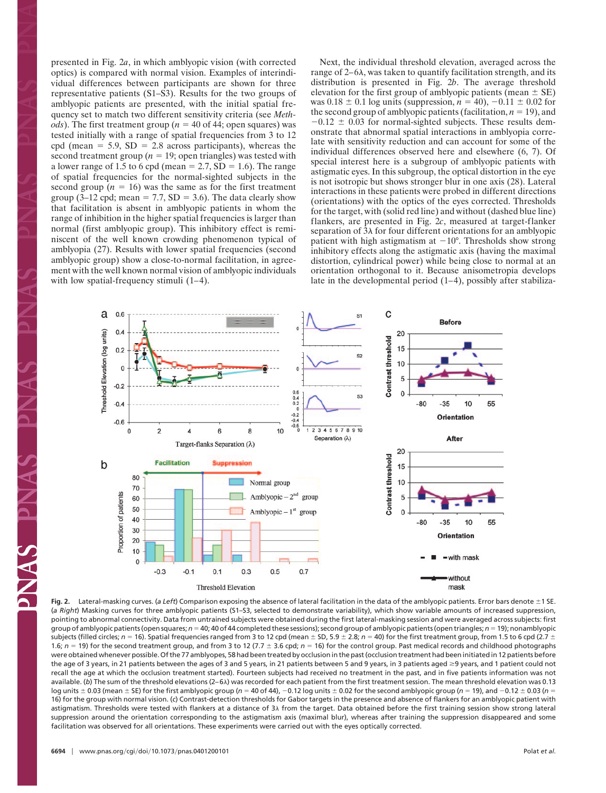presented in Fig. 2*a*, in which amblyopic vision (with corrected optics) is compared with normal vision. Examples of interindividual differences between participants are shown for three representative patients (S1–S3). Results for the two groups of amblyopic patients are presented, with the initial spatial frequency set to match two different sensitivity criteria (see *Methods*). The first treatment group ( $n = 40$  of 44; open squares) was tested initially with a range of spatial frequencies from 3 to 12 cpd (mean  $= 5.9$ , SD  $= 2.8$  across participants), whereas the second treatment group ( $n = 19$ ; open triangles) was tested with a lower range of 1.5 to 6 cpd (mean  $= 2.7$ , SD  $= 1.6$ ). The range of spatial frequencies for the normal-sighted subjects in the second group  $(n = 16)$  was the same as for the first treatment group (3–12 cpd; mean  $= 7.7$ , SD  $= 3.6$ ). The data clearly show that facilitation is absent in amblyopic patients in whom the range of inhibition in the higher spatial frequencies is larger than normal (first amblyopic group). This inhibitory effect is reminiscent of the well known crowding phenomenon typical of amblyopia (27). Results with lower spatial frequencies (second amblyopic group) show a close-to-normal facilitation, in agreement with the well known normal vision of amblyopic individuals with low spatial-frequency stimuli  $(1-4)$ .

Next, the individual threshold elevation, averaged across the range of  $2-6\lambda$ , was taken to quantify facilitation strength, and its distribution is presented in Fig. 2*b*. The average threshold elevation for the first group of amblyopic patients (mean  $\pm$  SE) was  $0.18 \pm 0.1$  log units (suppression,  $n = 40$ ),  $-0.11 \pm 0.02$  for the second group of amblyopic patients (facilitation,  $n = 19$ ), and  $-0.12 \pm 0.03$  for normal-sighted subjects. These results demonstrate that abnormal spatial interactions in amblyopia correlate with sensitivity reduction and can account for some of the individual differences observed here and elsewhere (6, 7). Of special interest here is a subgroup of amblyopic patients with astigmatic eyes. In this subgroup, the optical distortion in the eye is not isotropic but shows stronger blur in one axis (28). Lateral interactions in these patients were probed in different directions (orientations) with the optics of the eyes corrected. Thresholds for the target, with (solid red line) and without (dashed blue line) flankers, are presented in Fig. 2*c*, measured at target-flanker separation of  $3\lambda$  for four different orientations for an amblyopic patient with high astigmatism at  $-10^{\circ}$ . Thresholds show strong inhibitory effects along the astigmatic axis (having the maximal distortion, cylindrical power) while being close to normal at an orientation orthogonal to it. Because anisometropia develops late in the developmental period (1–4), possibly after stabiliza-



Fig. 2. Lateral-masking curves. (*a Left*) Comparison exposing the absence of lateral facilitation in the data of the amblyopic patients. Error bars denote ±1 SE. (*a Right*) Masking curves for three amblyopic patients (S1–S3, selected to demonstrate variability), which show variable amounts of increased suppression, pointing to abnormal connectivity. Data from untrained subjects were obtained during the first lateral-masking session and were averaged across subjects: first group of amblyopic patients (open squares; *n* 40; 40 of 44 completed these sessions); second group of amblyopic patients (open triangles; *n* 19); nonamblyopic subjects (filled circles; *n* = 16). Spatial frequencies ranged from 3 to 12 cpd (mean  $\pm$  SD, 5.9  $\pm$  2.8; *n* = 40) for the first treatment group, from 1.5 to 6 cpd (2.7  $\pm$ 1.6; *n* = 19) for the second treatment group, and from 3 to 12 (7.7  $\pm$  3.6 cpd; *n* = 16) for the control group. Past medical records and childhood photographs were obtained whenever possible. Of the 77 amblyopes, 58 had been treated by occlusion in the past (occlusion treatment had been initiated in 12 patients before the age of 3 years, in 21 patients between the ages of 3 and 5 years, in 21 patients between 5 and 9 years, in 3 patients aged  $\geq$ 9 years, and 1 patient could not recall the age at which the occlusion treatment started). Fourteen subjects had received no treatment in the past, and in five patients information was not available. (b) The sum of the threshold elevations (2–6<sub>^</sub>) was recorded for each patient from the first treatment session. The mean threshold elevation was 0.13 log units  $\pm$  0.03 (mean  $\pm$  SE) for the first amblyopic group (*n* = 40 of 44),  $-0.12$  log units  $\pm$  0.02 for the second amblyopic group (*n* = 19), and  $-0.12$   $\pm$  0.03 (*n* = 16) for the group with normal vision. (*c*) Contrast-detection thresholds for Gabor targets in the presence and absence of flankers for an amblyopic patient with astigmatism. Thresholds were tested with flankers at a distance of 3 $\lambda$  from the target. Data obtained before the first training session show strong lateral suppression around the orientation corresponding to the astigmatism axis (maximal blur), whereas after training the suppression disappeared and some facilitation was observed for all orientations. These experiments were carried out with the eyes optically corrected.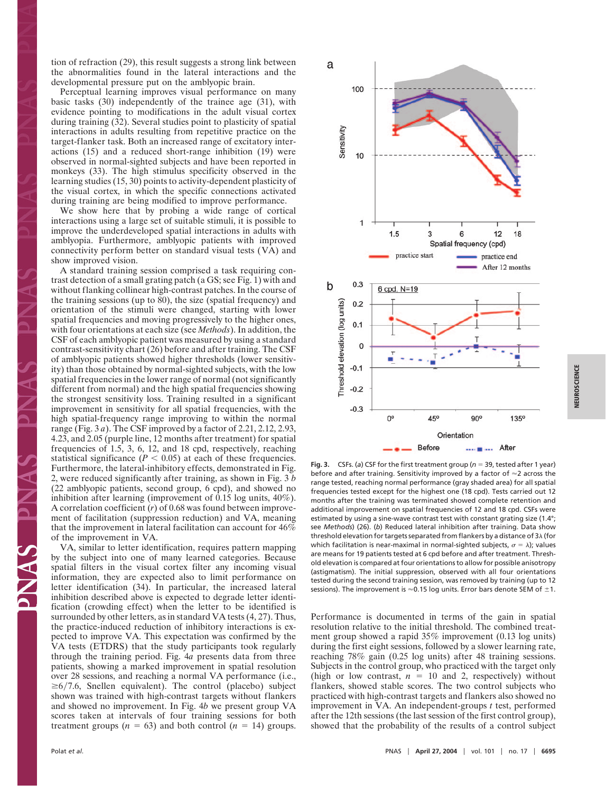tion of refraction (29), this result suggests a strong link between the abnormalities found in the lateral interactions and the developmental pressure put on the amblyopic brain.

Perceptual learning improves visual performance on many basic tasks (30) independently of the trainee age (31), with evidence pointing to modifications in the adult visual cortex during training (32). Several studies point to plasticity of spatial interactions in adults resulting from repetitive practice on the target-flanker task. Both an increased range of excitatory interactions (15) and a reduced short-range inhibition (19) were observed in normal-sighted subjects and have been reported in monkeys (33). The high stimulus specificity observed in the learning studies (15, 30) points to activity-dependent plasticity of the visual cortex, in which the specific connections activated during training are being modified to improve performance.

We show here that by probing a wide range of cortical interactions using a large set of suitable stimuli, it is possible to improve the underdeveloped spatial interactions in adults with amblyopia. Furthermore, amblyopic patients with improved connectivity perform better on standard visual tests (VA) and show improved vision.

A standard training session comprised a task requiring contrast detection of a small grating patch (a GS; see Fig. 1) with and without flanking collinear high-contrast patches. In the course of the training sessions (up to 80), the size (spatial frequency) and orientation of the stimuli were changed, starting with lower spatial frequencies and moving progressively to the higher ones, with four orientations at each size (see *Methods*). In addition, the CSF of each amblyopic patient was measured by using a standard contrast-sensitivity chart (26) before and after training. The CSF of amblyopic patients showed higher thresholds (lower sensitivity) than those obtained by normal-sighted subjects, with the low spatial frequencies in the lower range of normal (not significantly different from normal) and the high spatial frequencies showing the strongest sensitivity loss. Training resulted in a significant improvement in sensitivity for all spatial frequencies, with the high spatial-frequency range improving to within the normal range (Fig. 3 *a*). The CSF improved by a factor of 2.21, 2.12, 2.93, 4.23, and 2.05 (purple line, 12 months after treatment) for spatial frequencies of 1.5, 3, 6, 12, and 18 cpd, respectively, reaching statistical significance ( $P < 0.05$ ) at each of these frequencies. Furthermore, the lateral-inhibitory effects, demonstrated in Fig. 2, were reduced significantly after training, as shown in Fig. 3 *b* (22 amblyopic patients, second group, 6 cpd), and showed no inhibition after learning (improvement of 0.15 log units, 40%). A correlation coefficient (*r*) of 0.68 was found between improvement of facilitation (suppression reduction) and VA, meaning that the improvement in lateral facilitation can account for 46% of the improvement in VA.

VA, similar to letter identification, requires pattern mapping by the subject into one of many learned categories. Because spatial filters in the visual cortex filter any incoming visual information, they are expected also to limit performance on letter identification (34). In particular, the increased lateral inhibition described above is expected to degrade letter identification (crowding effect) when the letter to be identified is surrounded by other letters, as in standard VA tests (4, 27). Thus, the practice-induced reduction of inhibitory interactions is expected to improve VA. This expectation was confirmed by the VA tests (ETDRS) that the study participants took regularly through the training period. Fig. 4*a* presents data from three patients, showing a marked improvement in spatial resolution over 28 sessions, and reaching a normal VA performance (i.e.,  $\geq 6/7.6$ , Snellen equivalent). The control (placebo) subject shown was trained with high-contrast targets without flankers and showed no improvement. In Fig. 4*b* we present group VA scores taken at intervals of four training sessions for both treatment groups  $(n = 63)$  and both control  $(n = 14)$  groups.



**Fig. 3.** CSFs. (a) CSF for the first treatment group ( $n = 39$ , tested after 1 year) before and after training. Sensitivity improved by a factor of  $\approx$  2 across the range tested, reaching normal performance (gray shaded area) for all spatial frequencies tested except for the highest one (18 cpd). Tests carried out 12 months after the training was terminated showed complete retention and additional improvement on spatial frequencies of 12 and 18 cpd. CSFs were estimated by using a sine-wave contrast test with constant grating size (1.4°; see *Methods*) (26). (*b*) Reduced lateral inhibition after training. Data show threshold elevation for targets separated from flankers by a distance of 3 $\lambda$  (for which facilitation is near-maximal in normal-sighted subjects,  $\sigma=\lambda$ ); values are means for 19 patients tested at 6 cpd before and after treatment. Threshold elevation is compared at four orientations to allow for possible anisotropy (astigmatism). The initial suppression, observed with all four orientations tested during the second training session, was removed by training (up to 12 sessions). The improvement is  $\approx$ 0.15 log units. Error bars denote SEM of  $\pm$ 1.

Performance is documented in terms of the gain in spatial resolution relative to the initial threshold. The combined treatment group showed a rapid 35% improvement (0.13 log units) during the first eight sessions, followed by a slower learning rate, reaching 78% gain (0.25 log units) after 48 training sessions. Subjects in the control group, who practiced with the target only (high or low contrast,  $n = 10$  and 2, respectively) without flankers, showed stable scores. The two control subjects who practiced with high-contrast targets and flankers also showed no improvement in VA. An independent-groups *t* test, performed after the 12th sessions (the last session of the first control group), showed that the probability of the results of a control subject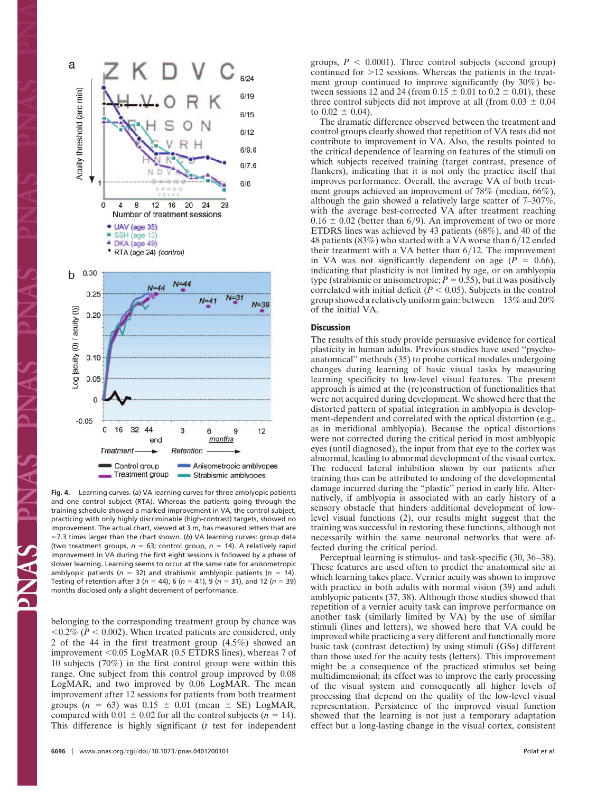

**Fig. 4.** Learning curves. (*a*) VA learning curves for three amblyopic patients and one control subject (RTA). Whereas the patients going through the training schedule showed a marked improvement in VA, the control subject, practicing with only highly discriminable (high-contrast) targets, showed no improvement. The actual chart, viewed at 3 m, has measured letters that are 7.3 times larger than the chart shown. (*b*) VA learning curves: group data (two treatment groups,  $n = 63$ ; control group,  $n = 14$ ). A relatively rapid improvement in VA during the first eight sessions is followed by a phase of slower learning. Learning seems to occur at the same rate for anisometropic amblyopic patients ( $n = 32$ ) and strabismic amblyopic patients ( $n = 14$ ). Testing of retention after 3 ( $n = 44$ ), 6 ( $n = 41$ ), 9 ( $n = 31$ ), and 12 ( $n = 39$ ) months disclosed only a slight decrement of performance.

belonging to the corresponding treatment group by chance was  $0.2\%$  ( $P < 0.002$ ). When treated patients are considered, only 2 of the 44 in the first treatment group (4.5%) showed an improvement  $< 0.05$  LogMAR (0.5 ETDRS lines), whereas 7 of 10 subjects (70%) in the first control group were within this range. One subject from this control group improved by 0.08 LogMAR, and two improved by 0.06 LogMAR. The mean improvement after 12 sessions for patients from both treatment groups  $(n = 63)$  was  $0.15 \pm 0.01$  (mean  $\pm$  SE) LogMAR, compared with  $0.01 \pm 0.02$  for all the control subjects ( $n = 14$ ). This difference is highly significant (*t* test for independent groups,  $P < 0.0001$ ). Three control subjects (second group) continued for  $>12$  sessions. Whereas the patients in the treatment group continued to improve significantly (by 30%) between sessions 12 and 24 (from  $0.15 \pm 0.01$  to  $0.2 \pm 0.01$ ), these three control subjects did not improve at all (from  $0.03 \pm 0.04$ ) to  $0.02 \pm 0.04$ ).

The dramatic difference observed between the treatment and control groups clearly showed that repetition of VA tests did not contribute to improvement in VA. Also, the results pointed to the critical dependence of learning on features of the stimuli on which subjects received training (target contrast, presence of flankers), indicating that it is not only the practice itself that improves performance. Overall, the average VA of both treatment groups achieved an improvement of 78% (median, 66%), although the gain showed a relatively large scatter of 7–307%, with the average best-corrected VA after treatment reaching  $0.16 \pm 0.02$  (better than 6/9). An improvement of two or more ETDRS lines was achieved by 43 patients (68%), and 40 of the 48 patients (83%) who started with a VA worse than  $6/12$  ended their treatment with a VA better than  $6/12$ . The improvement in VA was not significantly dependent on age  $(P = 0.66)$ , indicating that plasticity is not limited by age, or on amblyopia type (strabismic or anisometropic;  $P = 0.55$ ), but it was positively correlated with initial deficit ( $P < 0.05$ ). Subjects in the control group showed a relatively uniform gain: between  $-13\%$  and  $20\%$ of the initial VA.

## **Discussion**

The results of this study provide persuasive evidence for cortical plasticity in human adults. Previous studies have used ''psychoanatomical'' methods (35) to probe cortical modules undergoing changes during learning of basic visual tasks by measuring learning specificity to low-level visual features. The present approach is aimed at the (re)construction of functionalities that were not acquired during development. We showed here that the distorted pattern of spatial integration in amblyopia is development-dependent and correlated with the optical distortion (e.g., as in meridional amblyopia). Because the optical distortions were not corrected during the critical period in most amblyopic eyes (until diagnosed), the input from that eye to the cortex was abnormal, leading to abnormal development of the visual cortex. The reduced lateral inhibition shown by our patients after training thus can be attributed to undoing of the developmental damage incurred during the ''plastic'' period in early life. Alternatively, if amblyopia is associated with an early history of a sensory obstacle that hinders additional development of lowlevel visual functions (2), our results might suggest that the training was successful in restoring these functions, although not necessarily within the same neuronal networks that were affected during the critical period.

Perceptual learning is stimulus- and task-specific (30, 36–38). These features are used often to predict the anatomical site at which learning takes place. Vernier acuity was shown to improve with practice in both adults with normal vision (39) and adult amblyopic patients (37, 38). Although those studies showed that repetition of a vernier acuity task can improve performance on another task (similarly limited by VA) by the use of similar stimuli (lines and letters), we showed here that VA could be improved while practicing a very different and functionally more basic task (contrast detection) by using stimuli (GSs) different than those used for the acuity tests (letters). This improvement might be a consequence of the practiced stimulus set being multidimensional; its effect was to improve the early processing of the visual system and consequently all higher levels of processing that depend on the quality of the low-level visual representation. Persistence of the improved visual function showed that the learning is not just a temporary adaptation effect but a long-lasting change in the visual cortex, consistent